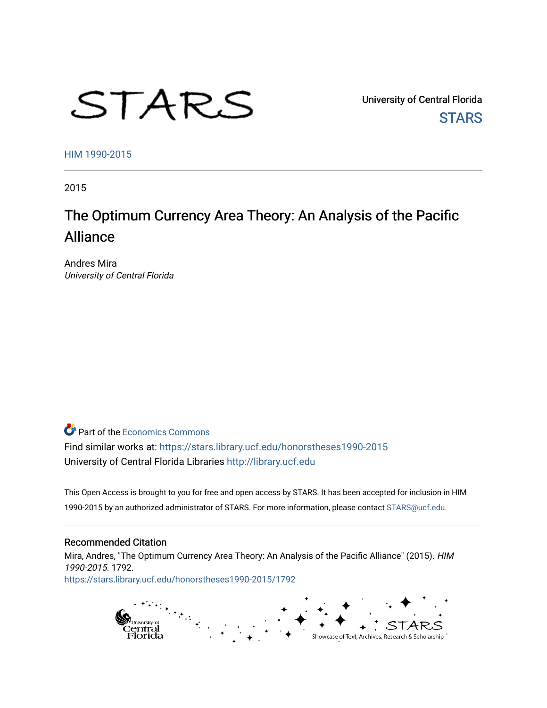# STARS

University of Central Florida **STARS** 

[HIM 1990-2015](https://stars.library.ucf.edu/honorstheses1990-2015) 

2015

# The Optimum Currency Area Theory: An Analysis of the Pacific Alliance

Andres Mira University of Central Florida

**C** Part of the [Economics Commons](http://network.bepress.com/hgg/discipline/340?utm_source=stars.library.ucf.edu%2Fhonorstheses1990-2015%2F1792&utm_medium=PDF&utm_campaign=PDFCoverPages)

Find similar works at: <https://stars.library.ucf.edu/honorstheses1990-2015> University of Central Florida Libraries [http://library.ucf.edu](http://library.ucf.edu/) 

This Open Access is brought to you for free and open access by STARS. It has been accepted for inclusion in HIM 1990-2015 by an authorized administrator of STARS. For more information, please contact [STARS@ucf.edu](mailto:STARS@ucf.edu).

#### Recommended Citation

Mira, Andres, "The Optimum Currency Area Theory: An Analysis of the Pacific Alliance" (2015). HIM 1990-2015. 1792. [https://stars.library.ucf.edu/honorstheses1990-2015/1792](https://stars.library.ucf.edu/honorstheses1990-2015/1792?utm_source=stars.library.ucf.edu%2Fhonorstheses1990-2015%2F1792&utm_medium=PDF&utm_campaign=PDFCoverPages) 

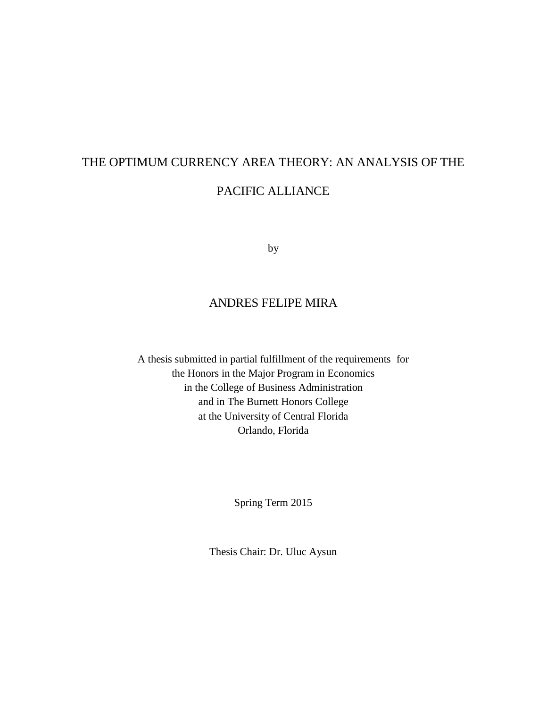# THE OPTIMUM CURRENCY AREA THEORY: AN ANALYSIS OF THE PACIFIC ALLIANCE

by

#### ANDRES FELIPE MIRA

A thesis submitted in partial fulfillment of the requirements for the Honors in the Major Program in Economics in the College of Business Administration and in The Burnett Honors College at the University of Central Florida Orlando, Florida

Spring Term 2015

Thesis Chair: Dr. Uluc Aysun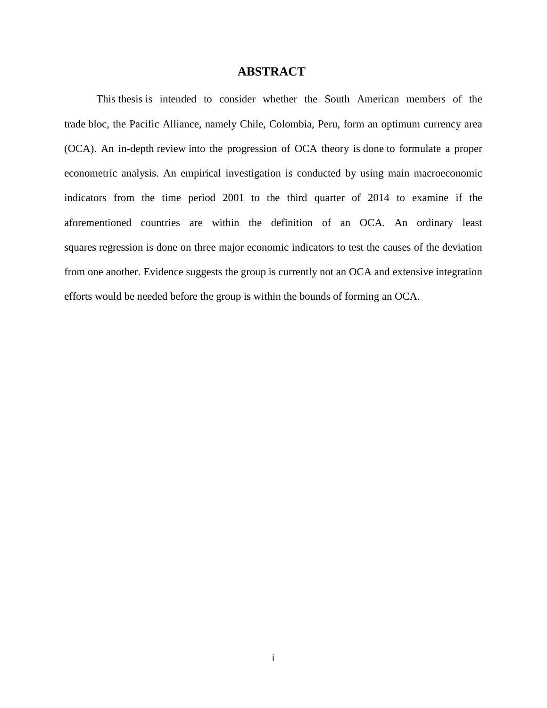#### **ABSTRACT**

This thesis is intended to consider whether the South American members of the trade bloc, the Pacific Alliance, namely Chile, Colombia, Peru, form an optimum currency area (OCA). An in-depth review into the progression of OCA theory is done to formulate a proper econometric analysis. An empirical investigation is conducted by using main macroeconomic indicators from the time period 2001 to the third quarter of 2014 to examine if the aforementioned countries are within the definition of an OCA. An ordinary least squares regression is done on three major economic indicators to test the causes of the deviation from one another. Evidence suggests the group is currently not an OCA and extensive integration efforts would be needed before the group is within the bounds of forming an OCA.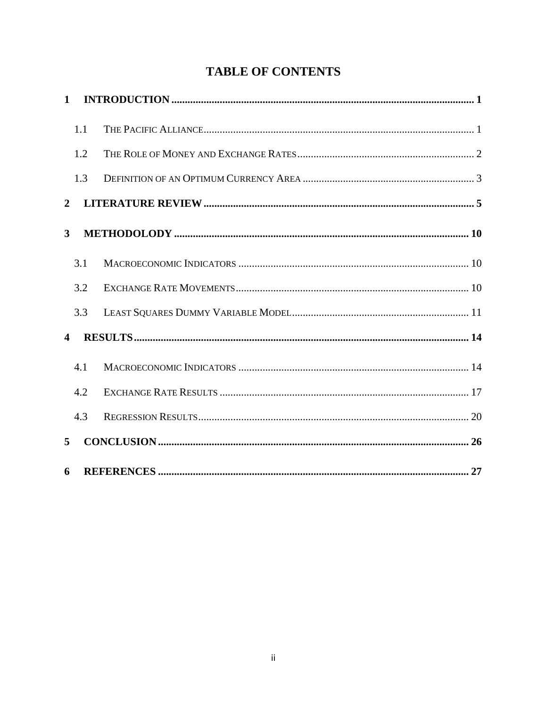# **TABLE OF CONTENTS**

| $\mathbf{1}$         |     |  |
|----------------------|-----|--|
|                      | 1.1 |  |
|                      | 1.2 |  |
|                      | 1.3 |  |
| $\mathbf{2}$         |     |  |
| 3                    |     |  |
|                      | 3.1 |  |
|                      | 3.2 |  |
|                      | 3.3 |  |
| $\blacktriangleleft$ |     |  |
|                      | 4.1 |  |
|                      | 4.2 |  |
|                      | 4.3 |  |
| 5                    |     |  |
| 6                    |     |  |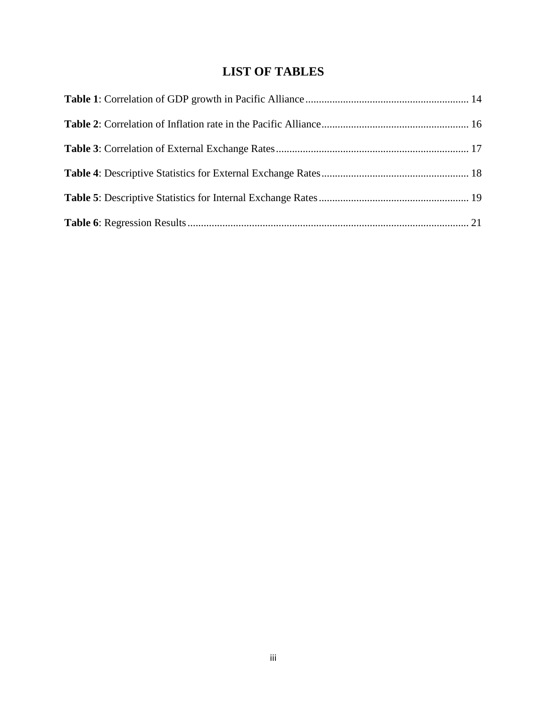## **LIST OF TABLES**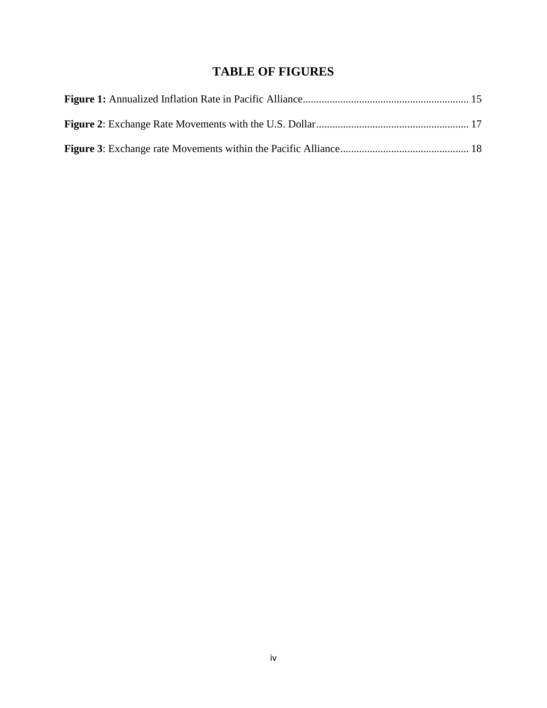## **TABLE OF FIGURES**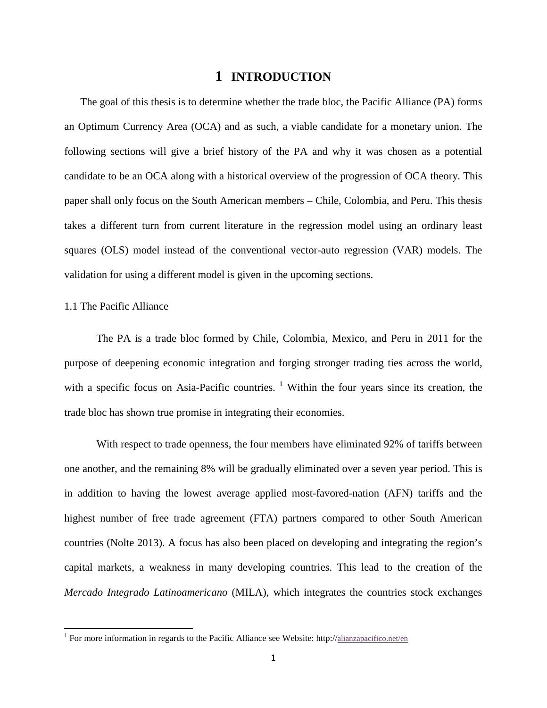#### **1 INTRODUCTION**

<span id="page-6-0"></span>The goal of this thesis is to determine whether the trade bloc, the Pacific Alliance (PA) forms an Optimum Currency Area (OCA) and as such, a viable candidate for a monetary union. The following sections will give a brief history of the PA and why it was chosen as a potential candidate to be an OCA along with a historical overview of the progression of OCA theory. This paper shall only focus on the South American members – Chile, Colombia, and Peru. This thesis takes a different turn from current literature in the regression model using an ordinary least squares (OLS) model instead of the conventional vector-auto regression (VAR) models. The validation for using a different model is given in the upcoming sections.

#### <span id="page-6-1"></span>1.1 The Pacific Alliance

l

The PA is a trade bloc formed by Chile, Colombia, Mexico, and Peru in 2011 for the purpose of deepening economic integration and forging stronger trading ties across the world, with a specific focus on Asia-Pacific countries.  $\frac{1}{1}$  $\frac{1}{1}$  $\frac{1}{1}$  Within the four years since its creation, the trade bloc has shown true promise in integrating their economies.

With respect to trade openness, the four members have eliminated 92% of tariffs between one another, and the remaining 8% will be gradually eliminated over a seven year period. This is in addition to having the lowest average applied most-favored-nation (AFN) tariffs and the highest number of free trade agreement (FTA) partners compared to other South American countries (Nolte 2013). A focus has also been placed on developing and integrating the region's capital markets, a weakness in many developing countries. This lead to the creation of the *Mercado Integrado Latinoamericano* (MILA), which integrates the countries stock exchanges

<span id="page-6-2"></span><sup>&</sup>lt;sup>1</sup> For more information in regards to the Pacific Alliance see Website: http:/[/alianzapacifico.net/en](http://alianzapacifico.net/en/)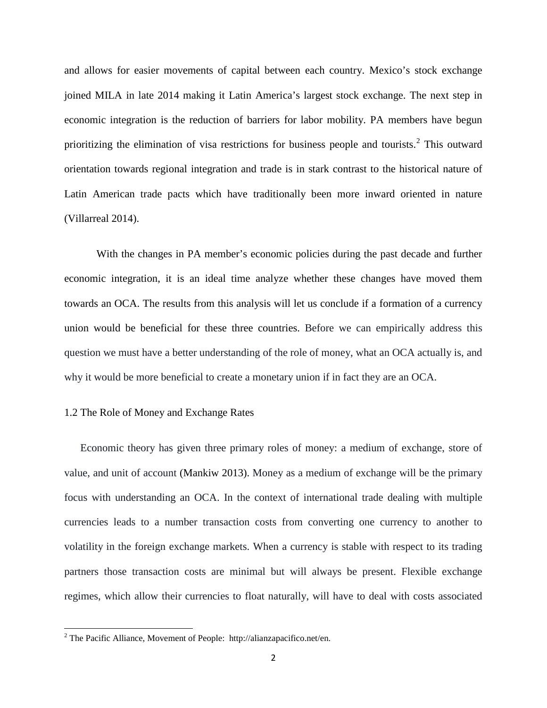and allows for easier movements of capital between each country. Mexico's stock exchange joined MILA in late 2014 making it Latin America's largest stock exchange. The next step in economic integration is the reduction of barriers for labor mobility. PA members have begun prioritizing the elimination of visa restrictions for business people and tourists.<sup>[2](#page-7-1)</sup> This outward orientation towards regional integration and trade is in stark contrast to the historical nature of Latin American trade pacts which have traditionally been more inward oriented in nature (Villarreal 2014).

With the changes in PA member's economic policies during the past decade and further economic integration, it is an ideal time analyze whether these changes have moved them towards an OCA. The results from this analysis will let us conclude if a formation of a currency union would be beneficial for these three countries. Before we can empirically address this question we must have a better understanding of the role of money, what an OCA actually is, and why it would be more beneficial to create a monetary union if in fact they are an OCA.

#### <span id="page-7-0"></span>1.2 The Role of Money and Exchange Rates

Economic theory has given three primary roles of money: a medium of exchange, store of value, and unit of account (Mankiw 2013). Money as a medium of exchange will be the primary focus with understanding an OCA. In the context of international trade dealing with multiple currencies leads to a number transaction costs from converting one currency to another to volatility in the foreign exchange markets. When a currency is stable with respect to its trading partners those transaction costs are minimal but will always be present. Flexible exchange regimes, which allow their currencies to float naturally, will have to deal with costs associated

l

<span id="page-7-1"></span><sup>&</sup>lt;sup>2</sup> The Pacific Alliance, Movement of People: http://alianzapacifico.net/en.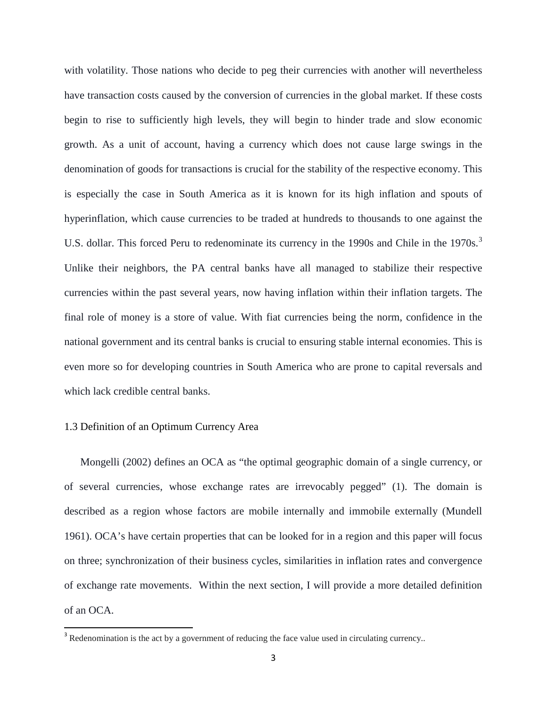with volatility. Those nations who decide to peg their currencies with another will nevertheless have transaction costs caused by the conversion of currencies in the global market. If these costs begin to rise to sufficiently high levels, they will begin to hinder trade and slow economic growth. As a unit of account, having a currency which does not cause large swings in the denomination of goods for transactions is crucial for the stability of the respective economy. This is especially the case in South America as it is known for its high inflation and spouts of hyperinflation, which cause currencies to be traded at hundreds to thousands to one against the U.S. dollar. This forced Peru to redenominate its currency in the 1990s and Chile in the 1970s.<sup>[3](#page-8-1)</sup> Unlike their neighbors, the PA central banks have all managed to stabilize their respective currencies within the past several years, now having inflation within their inflation targets. The final role of money is a store of value. With fiat currencies being the norm, confidence in the national government and its central banks is crucial to ensuring stable internal economies. This is even more so for developing countries in South America who are prone to capital reversals and which lack credible central banks.

#### <span id="page-8-0"></span>1.3 Definition of an Optimum Currency Area

l

Mongelli (2002) defines an OCA as "the optimal geographic domain of a single currency, or of several currencies, whose exchange rates are irrevocably pegged" (1). The domain is described as a region whose factors are mobile internally and immobile externally (Mundell 1961). OCA's have certain properties that can be looked for in a region and this paper will focus on three; synchronization of their business cycles, similarities in inflation rates and convergence of exchange rate movements. Within the next section, I will provide a more detailed definition of an OCA.

<span id="page-8-1"></span><sup>&</sup>lt;sup>3</sup> Redenomination is the act by a government of reducing the face value used in circulating currency..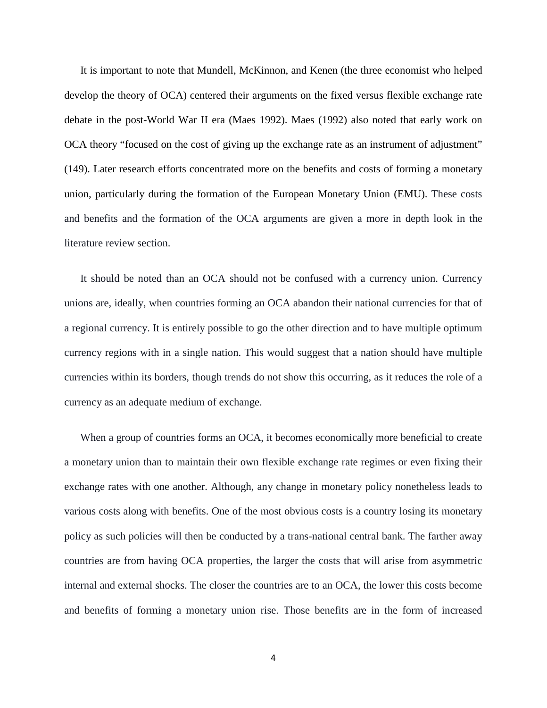It is important to note that Mundell, McKinnon, and Kenen (the three economist who helped develop the theory of OCA) centered their arguments on the fixed versus flexible exchange rate debate in the post-World War II era (Maes 1992). Maes (1992) also noted that early work on OCA theory "focused on the cost of giving up the exchange rate as an instrument of adjustment" (149). Later research efforts concentrated more on the benefits and costs of forming a monetary union, particularly during the formation of the European Monetary Union (EMU). These costs and benefits and the formation of the OCA arguments are given a more in depth look in the literature review section.

It should be noted than an OCA should not be confused with a currency union. Currency unions are, ideally, when countries forming an OCA abandon their national currencies for that of a regional currency. It is entirely possible to go the other direction and to have multiple optimum currency regions with in a single nation. This would suggest that a nation should have multiple currencies within its borders, though trends do not show this occurring, as it reduces the role of a currency as an adequate medium of exchange.

When a group of countries forms an OCA, it becomes economically more beneficial to create a monetary union than to maintain their own flexible exchange rate regimes or even fixing their exchange rates with one another. Although, any change in monetary policy nonetheless leads to various costs along with benefits. One of the most obvious costs is a country losing its monetary policy as such policies will then be conducted by a trans-national central bank. The farther away countries are from having OCA properties, the larger the costs that will arise from asymmetric internal and external shocks. The closer the countries are to an OCA, the lower this costs become and benefits of forming a monetary union rise. Those benefits are in the form of increased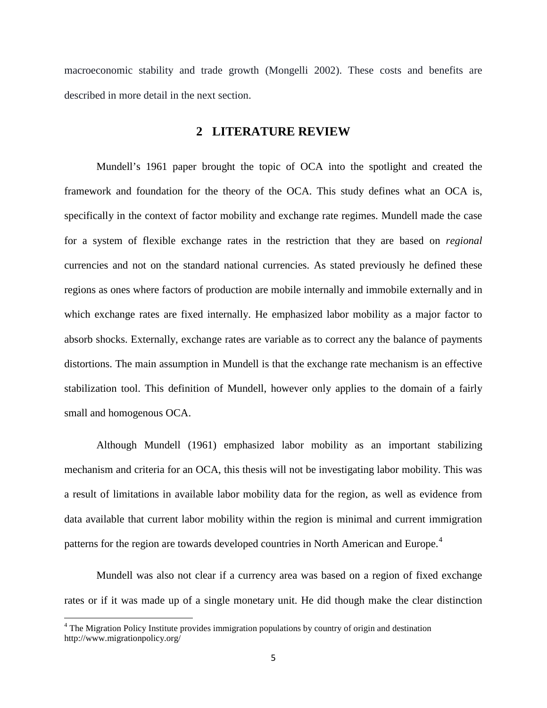<span id="page-10-0"></span>macroeconomic stability and trade growth (Mongelli 2002). These costs and benefits are described in more detail in the next section.

#### **2 LITERATURE REVIEW**

Mundell's 1961 paper brought the topic of OCA into the spotlight and created the framework and foundation for the theory of the OCA. This study defines what an OCA is, specifically in the context of factor mobility and exchange rate regimes. Mundell made the case for a system of flexible exchange rates in the restriction that they are based on *regional* currencies and not on the standard national currencies. As stated previously he defined these regions as ones where factors of production are mobile internally and immobile externally and in which exchange rates are fixed internally. He emphasized labor mobility as a major factor to absorb shocks. Externally, exchange rates are variable as to correct any the balance of payments distortions. The main assumption in Mundell is that the exchange rate mechanism is an effective stabilization tool. This definition of Mundell, however only applies to the domain of a fairly small and homogenous OCA.

Although Mundell (1961) emphasized labor mobility as an important stabilizing mechanism and criteria for an OCA, this thesis will not be investigating labor mobility. This was a result of limitations in available labor mobility data for the region, as well as evidence from data available that current labor mobility within the region is minimal and current immigration patterns for the region are towards developed countries in North American and Europe.<sup>[4](#page-10-1)</sup>

Mundell was also not clear if a currency area was based on a region of fixed exchange rates or if it was made up of a single monetary unit. He did though make the clear distinction

l

<span id="page-10-1"></span> $4$  The Migration Policy Institute provides immigration populations by country of origin and destination http://www.migrationpolicy.org/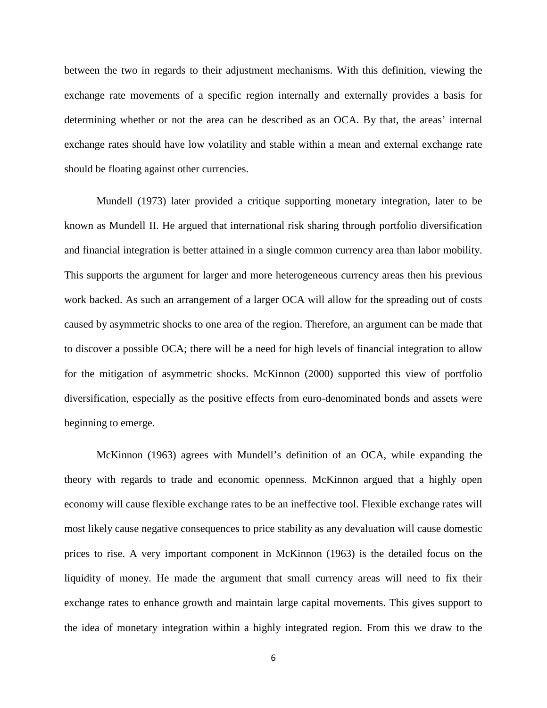between the two in regards to their adjustment mechanisms. With this definition, viewing the exchange rate movements of a specific region internally and externally provides a basis for determining whether or not the area can be described as an OCA. By that, the areas' internal exchange rates should have low volatility and stable within a mean and external exchange rate should be floating against other currencies.

Mundell (1973) later provided a critique supporting monetary integration, later to be known as Mundell II. He argued that international risk sharing through portfolio diversification and financial integration is better attained in a single common currency area than labor mobility. This supports the argument for larger and more heterogeneous currency areas then his previous work backed. As such an arrangement of a larger OCA will allow for the spreading out of costs caused by asymmetric shocks to one area of the region. Therefore, an argument can be made that to discover a possible OCA; there will be a need for high levels of financial integration to allow for the mitigation of asymmetric shocks. McKinnon (2000) supported this view of portfolio diversification, especially as the positive effects from euro-denominated bonds and assets were beginning to emerge.

McKinnon (1963) agrees with Mundell's definition of an OCA, while expanding the theory with regards to trade and economic openness. McKinnon argued that a highly open economy will cause flexible exchange rates to be an ineffective tool. Flexible exchange rates will most likely cause negative consequences to price stability as any devaluation will cause domestic prices to rise. A very important component in McKinnon (1963) is the detailed focus on the liquidity of money. He made the argument that small currency areas will need to fix their exchange rates to enhance growth and maintain large capital movements. This gives support to the idea of monetary integration within a highly integrated region. From this we draw to the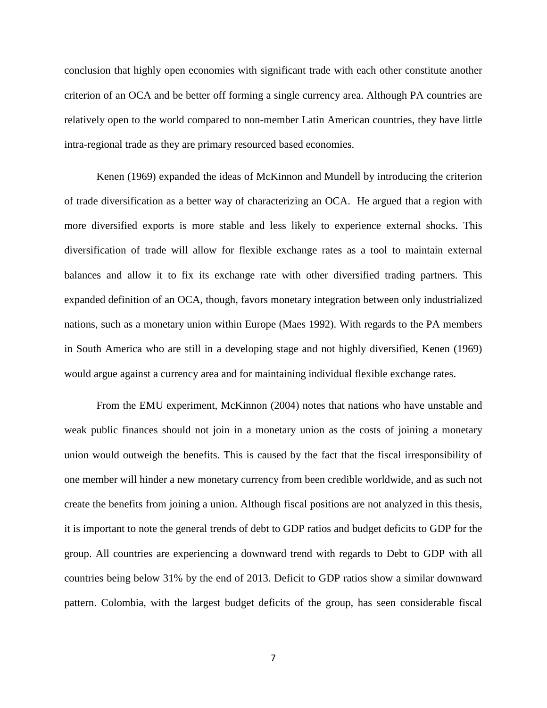conclusion that highly open economies with significant trade with each other constitute another criterion of an OCA and be better off forming a single currency area. Although PA countries are relatively open to the world compared to non-member Latin American countries, they have little intra-regional trade as they are primary resourced based economies.

Kenen (1969) expanded the ideas of McKinnon and Mundell by introducing the criterion of trade diversification as a better way of characterizing an OCA. He argued that a region with more diversified exports is more stable and less likely to experience external shocks. This diversification of trade will allow for flexible exchange rates as a tool to maintain external balances and allow it to fix its exchange rate with other diversified trading partners. This expanded definition of an OCA, though, favors monetary integration between only industrialized nations, such as a monetary union within Europe (Maes 1992). With regards to the PA members in South America who are still in a developing stage and not highly diversified, Kenen (1969) would argue against a currency area and for maintaining individual flexible exchange rates.

From the EMU experiment, McKinnon (2004) notes that nations who have unstable and weak public finances should not join in a monetary union as the costs of joining a monetary union would outweigh the benefits. This is caused by the fact that the fiscal irresponsibility of one member will hinder a new monetary currency from been credible worldwide, and as such not create the benefits from joining a union. Although fiscal positions are not analyzed in this thesis, it is important to note the general trends of debt to GDP ratios and budget deficits to GDP for the group. All countries are experiencing a downward trend with regards to Debt to GDP with all countries being below 31% by the end of 2013. Deficit to GDP ratios show a similar downward pattern. Colombia, with the largest budget deficits of the group, has seen considerable fiscal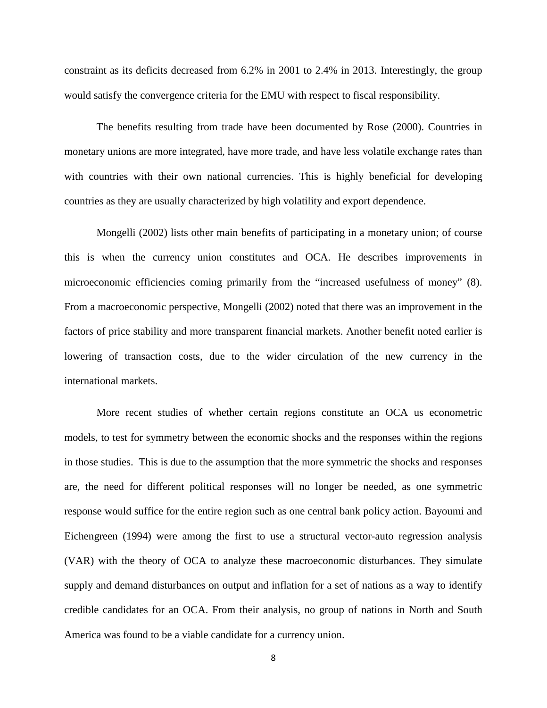constraint as its deficits decreased from 6.2% in 2001 to 2.4% in 2013. Interestingly, the group would satisfy the convergence criteria for the EMU with respect to fiscal responsibility.

The benefits resulting from trade have been documented by Rose (2000). Countries in monetary unions are more integrated, have more trade, and have less volatile exchange rates than with countries with their own national currencies. This is highly beneficial for developing countries as they are usually characterized by high volatility and export dependence.

Mongelli (2002) lists other main benefits of participating in a monetary union; of course this is when the currency union constitutes and OCA. He describes improvements in microeconomic efficiencies coming primarily from the "increased usefulness of money" (8). From a macroeconomic perspective, Mongelli (2002) noted that there was an improvement in the factors of price stability and more transparent financial markets. Another benefit noted earlier is lowering of transaction costs, due to the wider circulation of the new currency in the international markets.

More recent studies of whether certain regions constitute an OCA us econometric models, to test for symmetry between the economic shocks and the responses within the regions in those studies. This is due to the assumption that the more symmetric the shocks and responses are, the need for different political responses will no longer be needed, as one symmetric response would suffice for the entire region such as one central bank policy action. Bayoumi and Eichengreen (1994) were among the first to use a structural vector-auto regression analysis (VAR) with the theory of OCA to analyze these macroeconomic disturbances. They simulate supply and demand disturbances on output and inflation for a set of nations as a way to identify credible candidates for an OCA. From their analysis, no group of nations in North and South America was found to be a viable candidate for a currency union.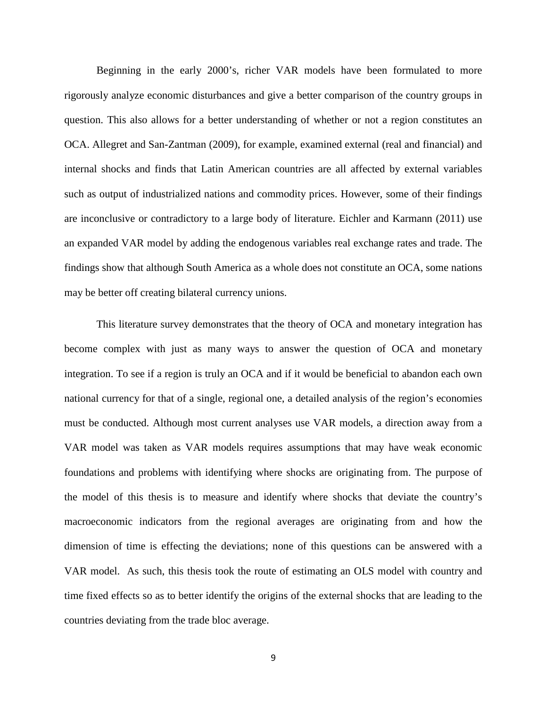Beginning in the early 2000's, richer VAR models have been formulated to more rigorously analyze economic disturbances and give a better comparison of the country groups in question. This also allows for a better understanding of whether or not a region constitutes an OCA. Allegret and San-Zantman (2009), for example, examined external (real and financial) and internal shocks and finds that Latin American countries are all affected by external variables such as output of industrialized nations and commodity prices. However, some of their findings are inconclusive or contradictory to a large body of literature. Eichler and Karmann (2011) use an expanded VAR model by adding the endogenous variables real exchange rates and trade. The findings show that although South America as a whole does not constitute an OCA, some nations may be better off creating bilateral currency unions.

This literature survey demonstrates that the theory of OCA and monetary integration has become complex with just as many ways to answer the question of OCA and monetary integration. To see if a region is truly an OCA and if it would be beneficial to abandon each own national currency for that of a single, regional one, a detailed analysis of the region's economies must be conducted. Although most current analyses use VAR models, a direction away from a VAR model was taken as VAR models requires assumptions that may have weak economic foundations and problems with identifying where shocks are originating from. The purpose of the model of this thesis is to measure and identify where shocks that deviate the country's macroeconomic indicators from the regional averages are originating from and how the dimension of time is effecting the deviations; none of this questions can be answered with a VAR model. As such, this thesis took the route of estimating an OLS model with country and time fixed effects so as to better identify the origins of the external shocks that are leading to the countries deviating from the trade bloc average.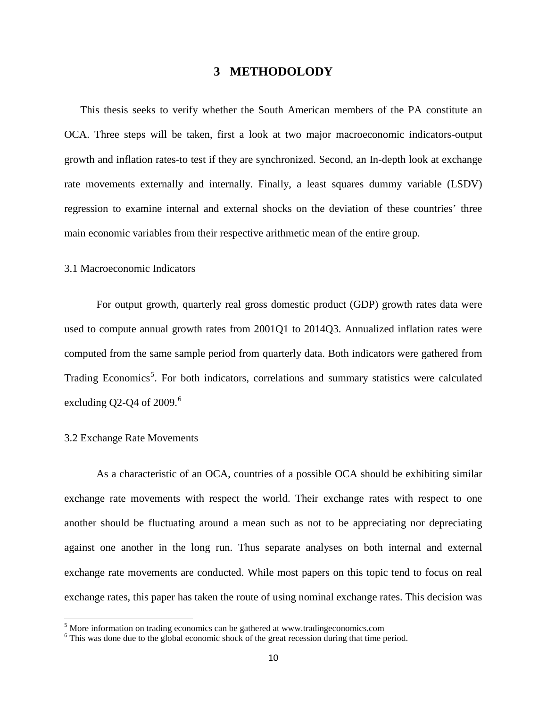#### **3 METHODOLODY**

<span id="page-15-0"></span>This thesis seeks to verify whether the South American members of the PA constitute an OCA. Three steps will be taken, first a look at two major macroeconomic indicators-output growth and inflation rates-to test if they are synchronized. Second, an In-depth look at exchange rate movements externally and internally. Finally, a least squares dummy variable (LSDV) regression to examine internal and external shocks on the deviation of these countries' three main economic variables from their respective arithmetic mean of the entire group.

#### <span id="page-15-1"></span>3.1 Macroeconomic Indicators

For output growth, quarterly real gross domestic product (GDP) growth rates data were used to compute annual growth rates from 2001Q1 to 2014Q3. Annualized inflation rates were computed from the same sample period from quarterly data. Both indicators were gathered from Trading Economics<sup>[5](#page-15-3)</sup>. For both indicators, correlations and summary statistics were calculated excluding Q2-Q4 of  $2009<sup>6</sup>$  $2009<sup>6</sup>$  $2009<sup>6</sup>$ 

#### <span id="page-15-2"></span>3.2 Exchange Rate Movements

l

As a characteristic of an OCA, countries of a possible OCA should be exhibiting similar exchange rate movements with respect the world. Their exchange rates with respect to one another should be fluctuating around a mean such as not to be appreciating nor depreciating against one another in the long run. Thus separate analyses on both internal and external exchange rate movements are conducted. While most papers on this topic tend to focus on real exchange rates, this paper has taken the route of using nominal exchange rates. This decision was

<span id="page-15-3"></span><sup>&</sup>lt;sup>5</sup> More information on trading economics can be gathered at www.tradingeconomics.com

<span id="page-15-4"></span><sup>&</sup>lt;sup>6</sup> This was done due to the global economic shock of the great recession during that time period.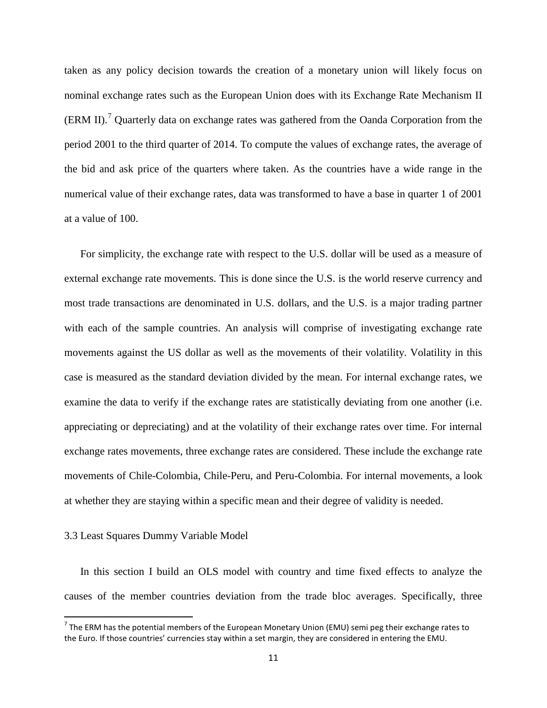taken as any policy decision towards the creation of a monetary union will likely focus on nominal exchange rates such as the European Union does with its Exchange Rate Mechanism II  $(ERM II).$ <sup>[7](#page-16-1)</sup> Quarterly data on exchange rates was gathered from the Oanda Corporation from the period 2001 to the third quarter of 2014. To compute the values of exchange rates, the average of the bid and ask price of the quarters where taken. As the countries have a wide range in the numerical value of their exchange rates, data was transformed to have a base in quarter 1 of 2001 at a value of 100.

For simplicity, the exchange rate with respect to the U.S. dollar will be used as a measure of external exchange rate movements. This is done since the U.S. is the world reserve currency and most trade transactions are denominated in U.S. dollars, and the U.S. is a major trading partner with each of the sample countries. An analysis will comprise of investigating exchange rate movements against the US dollar as well as the movements of their volatility. Volatility in this case is measured as the standard deviation divided by the mean. For internal exchange rates, we examine the data to verify if the exchange rates are statistically deviating from one another (i.e. appreciating or depreciating) and at the volatility of their exchange rates over time. For internal exchange rates movements, three exchange rates are considered. These include the exchange rate movements of Chile-Colombia, Chile-Peru, and Peru-Colombia. For internal movements, a look at whether they are staying within a specific mean and their degree of validity is needed.

#### <span id="page-16-0"></span>3.3 Least Squares Dummy Variable Model

 $\overline{\phantom{a}}$ 

In this section I build an OLS model with country and time fixed effects to analyze the causes of the member countries deviation from the trade bloc averages. Specifically, three

<span id="page-16-1"></span> $<sup>7</sup>$  The ERM has the potential members of the European Monetary Union (EMU) semi peg their exchange rates to</sup> the Euro. If those countries' currencies stay within a set margin, they are considered in entering the EMU.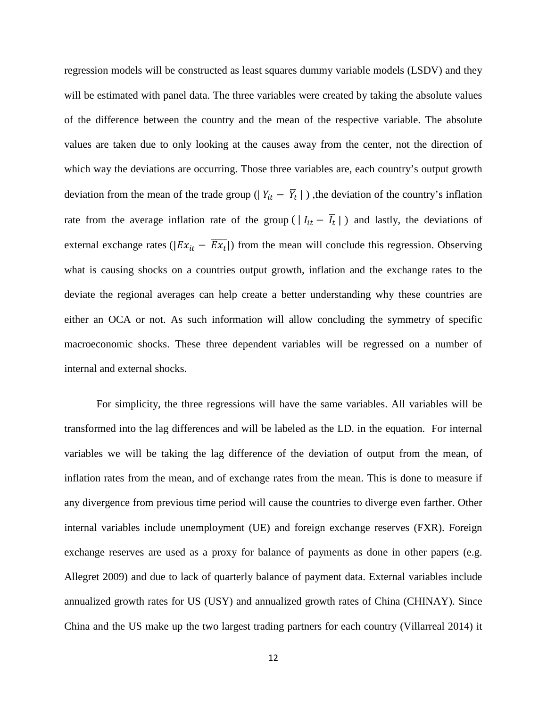regression models will be constructed as least squares dummy variable models (LSDV) and they will be estimated with panel data. The three variables were created by taking the absolute values of the difference between the country and the mean of the respective variable. The absolute values are taken due to only looking at the causes away from the center, not the direction of which way the deviations are occurring. Those three variables are, each country's output growth deviation from the mean of the trade group ( $|Y_{it} - \overline{Y}_t|$ ), the deviation of the country's inflation rate from the average inflation rate of the group ( $|I_{it} - \overline{I_t}|$ ) and lastly, the deviations of external exchange rates ( $|Ex_{it} - \overline{Ex_t}|$ ) from the mean will conclude this regression. Observing what is causing shocks on a countries output growth, inflation and the exchange rates to the deviate the regional averages can help create a better understanding why these countries are either an OCA or not. As such information will allow concluding the symmetry of specific macroeconomic shocks. These three dependent variables will be regressed on a number of internal and external shocks.

For simplicity, the three regressions will have the same variables. All variables will be transformed into the lag differences and will be labeled as the LD. in the equation. For internal variables we will be taking the lag difference of the deviation of output from the mean, of inflation rates from the mean, and of exchange rates from the mean. This is done to measure if any divergence from previous time period will cause the countries to diverge even farther. Other internal variables include unemployment (UE) and foreign exchange reserves (FXR). Foreign exchange reserves are used as a proxy for balance of payments as done in other papers (e.g. Allegret 2009) and due to lack of quarterly balance of payment data. External variables include annualized growth rates for US (USY) and annualized growth rates of China (CHINAY). Since China and the US make up the two largest trading partners for each country (Villarreal 2014) it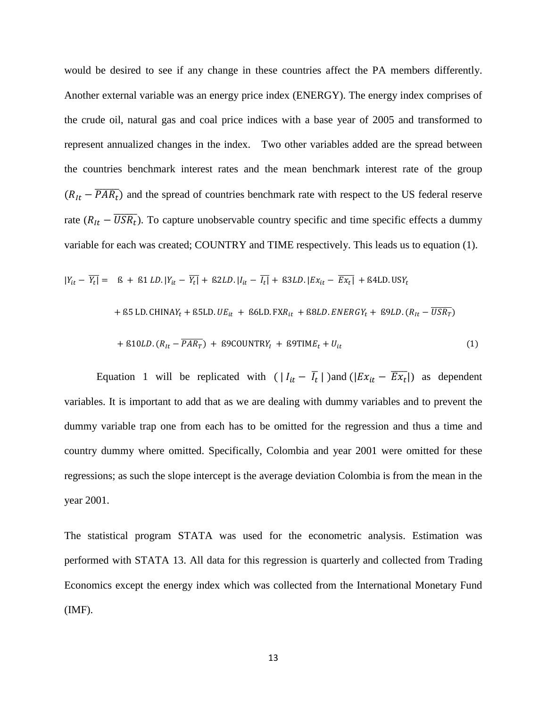would be desired to see if any change in these countries affect the PA members differently. Another external variable was an energy price index (ENERGY). The energy index comprises of the crude oil, natural gas and coal price indices with a base year of 2005 and transformed to represent annualized changes in the index. Two other variables added are the spread between the countries benchmark interest rates and the mean benchmark interest rate of the group  $(R_{It} - \overline{PAR_t})$  and the spread of countries benchmark rate with respect to the US federal reserve rate  $(R_{It} - \overline{USR_t})$ . To capture unobservable country specific and time specific effects a dummy variable for each was created; COUNTRY and TIME respectively. This leads us to equation (1).

$$
|Y_{it} - Y_t| = \beta + \beta 1 LD. |Y_{it} - Y_t| + \beta 2LD. |I_{it} - I_t| + \beta 3LD. |Ex_{it} - Ex_t| + \beta 4LD. USY_t
$$
  
+ 
$$
\beta 5 LD. CHINAY_t + \beta 5LD. UE_{it} + \beta 6LD. FXR_{it} + \beta 8LD. ENERGY_t + \beta 9LD. (R_{it} - \overline{USR_T})
$$

+ ß10. ( − �������) + ß9COUNTR + ß9TIM + (1)

Equation 1 will be replicated with  $(|I_{it} - \overline{I_t}|)$  and  $(|Ex_{it} - \overline{Ex_t}|)$  as dependent variables. It is important to add that as we are dealing with dummy variables and to prevent the dummy variable trap one from each has to be omitted for the regression and thus a time and country dummy where omitted. Specifically, Colombia and year 2001 were omitted for these regressions; as such the slope intercept is the average deviation Colombia is from the mean in the year 2001.

The statistical program STATA was used for the econometric analysis. Estimation was performed with STATA 13. All data for this regression is quarterly and collected from Trading Economics except the energy index which was collected from the International Monetary Fund (IMF).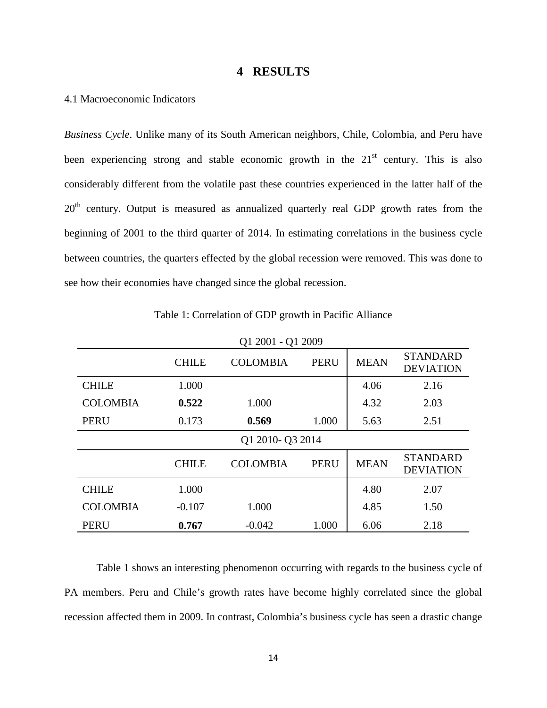#### **4 RESULTS**

#### <span id="page-19-1"></span><span id="page-19-0"></span>4.1 Macroeconomic Indicators

*Business Cycle*. Unlike many of its South American neighbors, Chile, Colombia, and Peru have been experiencing strong and stable economic growth in the  $21<sup>st</sup>$  century. This is also considerably different from the volatile past these countries experienced in the latter half of the  $20<sup>th</sup>$  century. Output is measured as annualized quarterly real GDP growth rates from the beginning of 2001 to the third quarter of 2014. In estimating correlations in the business cycle between countries, the quarters effected by the global recession were removed. This was done to see how their economies have changed since the global recession.

<span id="page-19-2"></span>

|                 | Q1 2001 - Q1 2009 |                 |             |             |                                     |
|-----------------|-------------------|-----------------|-------------|-------------|-------------------------------------|
|                 | <b>CHILE</b>      | <b>COLOMBIA</b> | <b>PERU</b> | <b>MEAN</b> | <b>STANDARD</b><br><b>DEVIATION</b> |
| <b>CHILE</b>    | 1.000             |                 |             | 4.06        | 2.16                                |
| <b>COLOMBIA</b> | 0.522             | 1.000           |             | 4.32        | 2.03                                |
| <b>PERU</b>     | 0.173             | 0.569           | 1.000       | 5.63        | 2.51                                |
|                 | Q1 2010- Q3 2014  |                 |             |             |                                     |
|                 | <b>CHILE</b>      | <b>COLOMBIA</b> | <b>PERU</b> | <b>MEAN</b> | <b>STANDARD</b><br><b>DEVIATION</b> |
| <b>CHILE</b>    | 1.000             |                 |             | 4.80        | 2.07                                |
| <b>COLOMBIA</b> | $-0.107$          | 1.000           |             | 4.85        | 1.50                                |
| <b>PERU</b>     | 0.767             | $-0.042$        | 1.000       | 6.06        | 2.18                                |

Table 1: Correlation of GDP growth in Pacific Alliance

Table 1 shows an interesting phenomenon occurring with regards to the business cycle of PA members. Peru and Chile's growth rates have become highly correlated since the global recession affected them in 2009. In contrast, Colombia's business cycle has seen a drastic change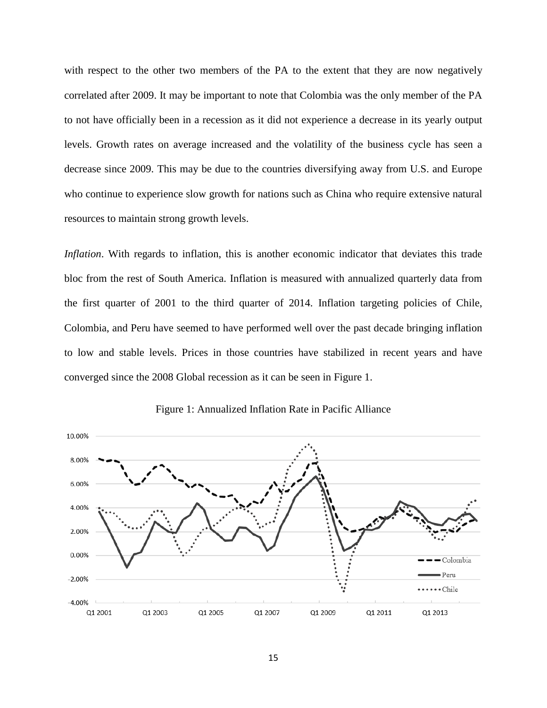with respect to the other two members of the PA to the extent that they are now negatively correlated after 2009. It may be important to note that Colombia was the only member of the PA to not have officially been in a recession as it did not experience a decrease in its yearly output levels. Growth rates on average increased and the volatility of the business cycle has seen a decrease since 2009. This may be due to the countries diversifying away from U.S. and Europe who continue to experience slow growth for nations such as China who require extensive natural resources to maintain strong growth levels.

*Inflation*. With regards to inflation, this is another economic indicator that deviates this trade bloc from the rest of South America. Inflation is measured with annualized quarterly data from the first quarter of 2001 to the third quarter of 2014. Inflation targeting policies of Chile, Colombia, and Peru have seemed to have performed well over the past decade bringing inflation to low and stable levels. Prices in those countries have stabilized in recent years and have converged since the 2008 Global recession as it can be seen in Figure 1.

<span id="page-20-0"></span>

Figure 1: Annualized Inflation Rate in Pacific Alliance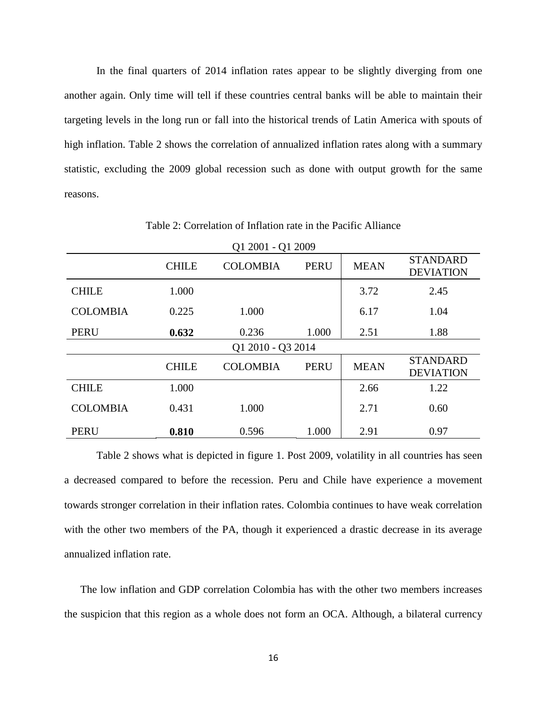In the final quarters of 2014 inflation rates appear to be slightly diverging from one another again. Only time will tell if these countries central banks will be able to maintain their targeting levels in the long run or fall into the historical trends of Latin America with spouts of high inflation. Table 2 shows the correlation of annualized inflation rates along with a summary statistic, excluding the 2009 global recession such as done with output growth for the same reasons.

<span id="page-21-0"></span>

| Q1 2001 - Q1 2009 |              |                 |             |             |                                     |
|-------------------|--------------|-----------------|-------------|-------------|-------------------------------------|
|                   | <b>CHILE</b> | <b>COLOMBIA</b> | <b>PERU</b> | <b>MEAN</b> | <b>STANDARD</b><br><b>DEVIATION</b> |
| <b>CHILE</b>      | 1.000        |                 |             | 3.72        | 2.45                                |
| <b>COLOMBIA</b>   | 0.225        | 1.000           |             | 6.17        | 1.04                                |
| <b>PERU</b>       | 0.632        | 0.236           | 1.000       | 2.51        | 1.88                                |
| Q1 2010 - Q3 2014 |              |                 |             |             |                                     |
|                   | <b>CHILE</b> | <b>COLOMBIA</b> | <b>PERU</b> | <b>MEAN</b> | <b>STANDARD</b><br><b>DEVIATION</b> |
| <b>CHILE</b>      | 1.000        |                 |             | 2.66        | 1.22                                |
| <b>COLOMBIA</b>   | 0.431        | 1.000           |             | 2.71        | 0.60                                |
| <b>PERU</b>       | 0.810        | 0.596           | 1.000       | 2.91        | 0.97                                |

Table 2: Correlation of Inflation rate in the Pacific Alliance

Table 2 shows what is depicted in figure 1. Post 2009, volatility in all countries has seen a decreased compared to before the recession. Peru and Chile have experience a movement towards stronger correlation in their inflation rates. Colombia continues to have weak correlation with the other two members of the PA, though it experienced a drastic decrease in its average annualized inflation rate.

The low inflation and GDP correlation Colombia has with the other two members increases the suspicion that this region as a whole does not form an OCA. Although, a bilateral currency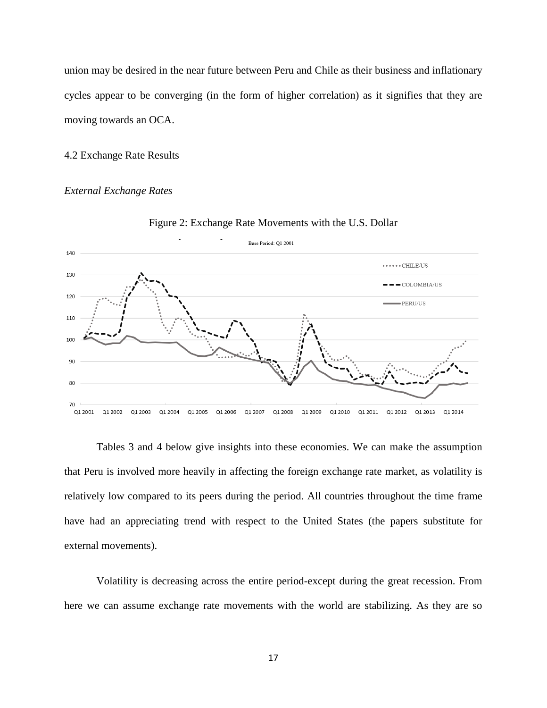union may be desired in the near future between Peru and Chile as their business and inflationary cycles appear to be converging (in the form of higher correlation) as it signifies that they are moving towards an OCA.

#### <span id="page-22-0"></span>4.2 Exchange Rate Results

#### *External Exchange Rates*

<span id="page-22-2"></span>



Tables 3 and 4 below give insights into these economies. We can make the assumption that Peru is involved more heavily in affecting the foreign exchange rate market, as volatility is relatively low compared to its peers during the period. All countries throughout the time frame have had an appreciating trend with respect to the United States (the papers substitute for external movements).

<span id="page-22-1"></span>Volatility is decreasing across the entire period-except during the great recession. From here we can assume exchange rate movements with the world are stabilizing. As they are so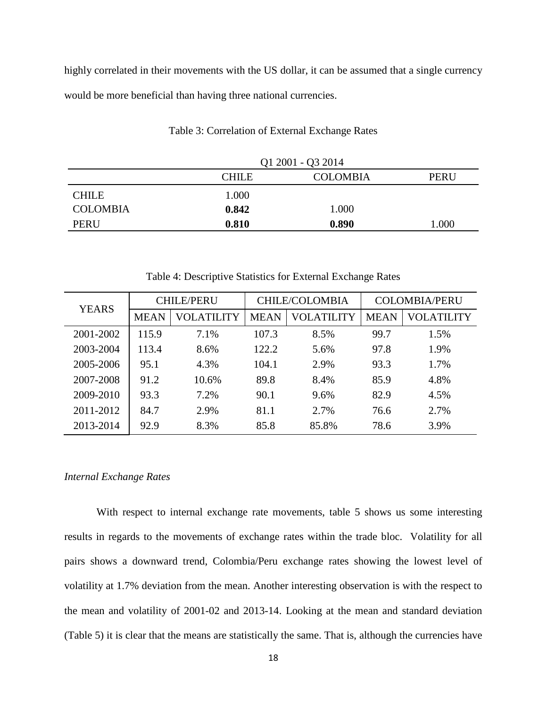highly correlated in their movements with the US dollar, it can be assumed that a single currency would be more beneficial than having three national currencies.

|                 | Q1 2001 - Q3 2014 |                 |             |  |
|-----------------|-------------------|-----------------|-------------|--|
|                 | <b>CHILE</b>      | <b>COLOMBIA</b> | <b>PERU</b> |  |
| <b>CHILE</b>    | 1.000             |                 |             |  |
| <b>COLOMBIA</b> | 0.842             | 1.000           |             |  |
| <b>PERU</b>     | 0.810             | 0.890           | 1.000       |  |

Table 3: Correlation of External Exchange Rates

<span id="page-23-0"></span>

| <b>YEARS</b> | <b>CHILE/PERU</b> |            | <b>CHILE/COLOMBIA</b> |            | <b>COLOMBIA/PERU</b> |            |
|--------------|-------------------|------------|-----------------------|------------|----------------------|------------|
|              | <b>MEAN</b>       | VOLATILITY | <b>MEAN</b>           | VOLATILITY | <b>MEAN</b>          | VOLATILITY |
| 2001-2002    | 115.9             | 7.1%       | 107.3                 | 8.5%       | 99.7                 | 1.5%       |
| 2003-2004    | 113.4             | 8.6%       | 122.2                 | 5.6%       | 97.8                 | 1.9%       |
| 2005-2006    | 95.1              | 4.3%       | 104.1                 | 2.9%       | 93.3                 | 1.7%       |
| 2007-2008    | 91.2              | 10.6%      | 89.8                  | 8.4%       | 85.9                 | 4.8%       |
| 2009-2010    | 93.3              | 7.2%       | 90.1                  | 9.6%       | 82.9                 | 4.5%       |
| 2011-2012    | 84.7              | 2.9%       | 81.1                  | 2.7%       | 76.6                 | 2.7%       |
| 2013-2014    | 92.9              | 8.3%       | 85.8                  | 85.8%      | 78.6                 | 3.9%       |

Table 4: Descriptive Statistics for External Exchange Rates

#### *Internal Exchange Rates*

<span id="page-23-1"></span>With respect to internal exchange rate movements, table 5 shows us some interesting results in regards to the movements of exchange rates within the trade bloc. Volatility for all pairs shows a downward trend, Colombia/Peru exchange rates showing the lowest level of volatility at 1.7% deviation from the mean. Another interesting observation is with the respect to the mean and volatility of 2001-02 and 2013-14. Looking at the mean and standard deviation (Table 5) it is clear that the means are statistically the same. That is, although the currencies have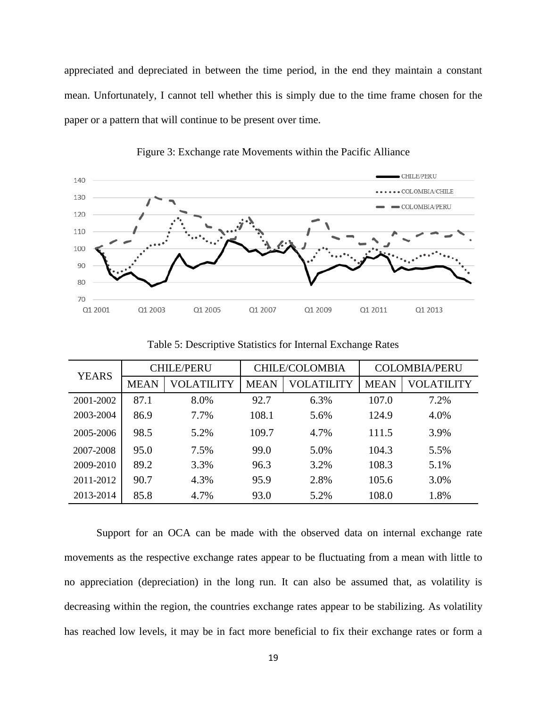appreciated and depreciated in between the time period, in the end they maintain a constant mean. Unfortunately, I cannot tell whether this is simply due to the time frame chosen for the paper or a pattern that will continue to be present over time.



Figure 3: Exchange rate Movements within the Pacific Alliance

<span id="page-24-0"></span>

| <b>YEARS</b> | <b>CHILE/PERU</b> |            | <b>CHILE/COLOMBIA</b> |            | <b>COLOMBIA/PERU</b> |            |
|--------------|-------------------|------------|-----------------------|------------|----------------------|------------|
|              | <b>MEAN</b>       | VOLATILITY | <b>MEAN</b>           | VOLATILITY | <b>MEAN</b>          | VOLATILITY |
| 2001-2002    | 87.1              | 8.0%       | 92.7                  | 6.3%       | 107.0                | 7.2%       |
| 2003-2004    | 86.9              | 7.7%       | 108.1                 | 5.6%       | 124.9                | 4.0%       |
| 2005-2006    | 98.5              | 5.2%       | 109.7                 | 4.7%       | 111.5                | 3.9%       |
| 2007-2008    | 95.0              | 7.5%       | 99.0                  | 5.0%       | 104.3                | 5.5%       |
| 2009-2010    | 89.2              | 3.3%       | 96.3                  | 3.2%       | 108.3                | 5.1%       |
| 2011-2012    | 90.7              | 4.3%       | 95.9                  | 2.8%       | 105.6                | 3.0%       |
| 2013-2014    | 85.8              | 4.7%       | 93.0                  | 5.2%       | 108.0                | 1.8%       |

Table 5: Descriptive Statistics for Internal Exchange Rates

Support for an OCA can be made with the observed data on internal exchange rate movements as the respective exchange rates appear to be fluctuating from a mean with little to no appreciation (depreciation) in the long run. It can also be assumed that, as volatility is decreasing within the region, the countries exchange rates appear to be stabilizing. As volatility has reached low levels, it may be in fact more beneficial to fix their exchange rates or form a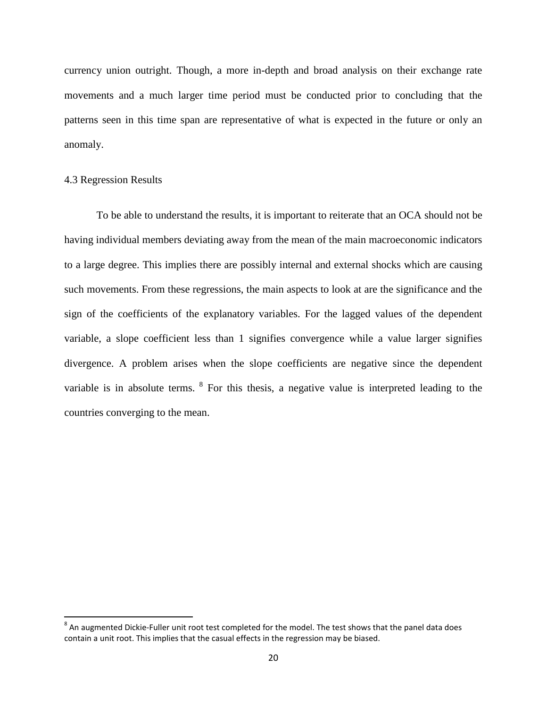currency union outright. Though, a more in-depth and broad analysis on their exchange rate movements and a much larger time period must be conducted prior to concluding that the patterns seen in this time span are representative of what is expected in the future or only an anomaly.

#### <span id="page-25-0"></span>4.3 Regression Results

 $\overline{\phantom{a}}$ 

<span id="page-25-1"></span>To be able to understand the results, it is important to reiterate that an OCA should not be having individual members deviating away from the mean of the main macroeconomic indicators to a large degree. This implies there are possibly internal and external shocks which are causing such movements. From these regressions, the main aspects to look at are the significance and the sign of the coefficients of the explanatory variables. For the lagged values of the dependent variable, a slope coefficient less than 1 signifies convergence while a value larger signifies divergence. A problem arises when the slope coefficients are negative since the dependent variable is in absolute terms. <sup>[8](#page-25-2)</sup> For this thesis, a negative value is interpreted leading to the countries converging to the mean.

<span id="page-25-2"></span><sup>&</sup>lt;sup>8</sup> An augmented Dickie-Fuller unit root test completed for the model. The test shows that the panel data does contain a unit root. This implies that the casual effects in the regression may be biased.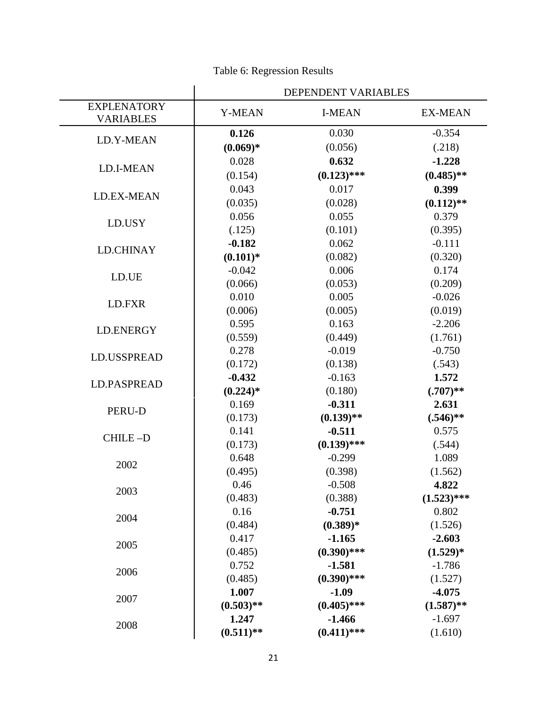|                                        |               | DEPENDENT VARIABLES |                |
|----------------------------------------|---------------|---------------------|----------------|
| <b>EXPLENATORY</b><br><b>VARIABLES</b> | <b>Y-MEAN</b> | <b>I-MEAN</b>       | <b>EX-MEAN</b> |
|                                        | 0.126         | 0.030               | $-0.354$       |
| LD.Y-MEAN                              | $(0.069)*$    | (0.056)             | (.218)         |
|                                        | 0.028         | 0.632               | $-1.228$       |
| LD.I-MEAN                              | (0.154)       | $(0.123)$ ***       | $(0.485)$ **   |
|                                        | 0.043         | 0.017               | 0.399          |
| LD.EX-MEAN                             | (0.035)       | (0.028)             | $(0.112)$ **   |
|                                        | 0.056         | 0.055               | 0.379          |
| LD.USY                                 | (.125)        | (0.101)             | (0.395)        |
|                                        | $-0.182$      | 0.062               | $-0.111$       |
| <b>LD.CHINAY</b>                       | $(0.101)$ *   | (0.082)             | (0.320)        |
|                                        | $-0.042$      | 0.006               | 0.174          |
| LD.UE                                  | (0.066)       | (0.053)             | (0.209)        |
|                                        | 0.010         | 0.005               | $-0.026$       |
| LD.FXR                                 | (0.006)       | (0.005)             | (0.019)        |
|                                        | 0.595         | 0.163               | $-2.206$       |
| LD.ENERGY                              | (0.559)       | (0.449)             | (1.761)        |
|                                        | 0.278         | $-0.019$            | $-0.750$       |
| LD.USSPREAD                            | (0.172)       | (0.138)             | (.543)         |
|                                        | $-0.432$      | $-0.163$            | 1.572          |
| <b>LD.PASPREAD</b>                     | $(0.224)*$    | (0.180)             | $(.707)$ **    |
|                                        | 0.169         | $-0.311$            | 2.631          |
| PERU-D                                 | (0.173)       | $(0.139)$ **        | $(.546)$ **    |
|                                        | 0.141         | $-0.511$            | 0.575          |
| CHILE-D                                | (0.173)       | $(0.139)$ ***       | (.544)         |
| 2002                                   | 0.648         | $-0.299$            | 1.089          |
|                                        | (0.495)       | (0.398)             | (1.562)        |
| 2003                                   | 0.46          | $-0.508$            | 4.822          |
|                                        | (0.483)       | (0.388)             | $(1.523)$ ***  |
| 2004                                   | 0.16          | $-0.751$            | 0.802          |
|                                        | (0.484)       | $(0.389)*$          | (1.526)        |
| 2005                                   | 0.417         | $-1.165$            | $-2.603$       |
|                                        | (0.485)       | $(0.390)$ ***       | $(1.529)^*$    |
| 2006                                   | 0.752         | $-1.581$            | $-1.786$       |
|                                        | (0.485)       | $(0.390)$ ***       | (1.527)        |
| 2007                                   | 1.007         | $-1.09$             | $-4.075$       |
|                                        | $(0.503)$ **  | $(0.405)$ ***       | $(1.587)$ **   |
| 2008                                   | 1.247         | $-1.466$            | $-1.697$       |
|                                        | $(0.511)$ **  | $(0.411)$ ***       | (1.610)        |

### Table 6: Regression Results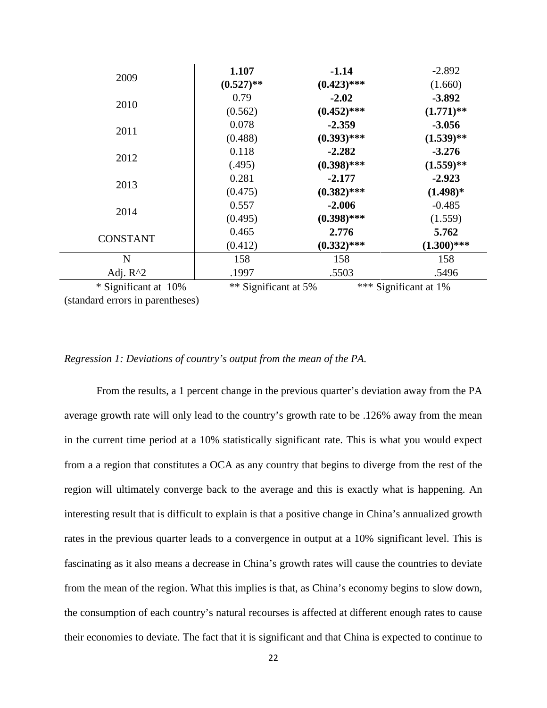|                      | 1.107                | $-1.14$       | $-2.892$              |
|----------------------|----------------------|---------------|-----------------------|
| 2009                 | $(0.527)$ **         | $(0.423)$ *** | (1.660)               |
|                      | 0.79                 | $-2.02$       | $-3.892$              |
| 2010                 | (0.562)              | $(0.452)$ *** | $(1.771)$ **          |
|                      | 0.078                | $-2.359$      | $-3.056$              |
| 2011                 | (0.488)              | $(0.393)$ *** | $(1.539)**$           |
|                      | 0.118                | $-2.282$      | $-3.276$              |
| 2012                 | (.495)               | $(0.398)$ *** | $(1.559)**$           |
|                      | 0.281                | $-2.177$      | $-2.923$              |
| 2013                 | (0.475)              | $(0.382)$ *** | $(1.498)*$            |
|                      | 0.557                | $-2.006$      | $-0.485$              |
| 2014                 | (0.495)              | $(0.398)$ *** | (1.559)               |
|                      | 0.465                | 2.776         | 5.762                 |
| <b>CONSTANT</b>      | (0.412)              | $(0.332)$ *** | $(1.300)$ ***         |
| N                    | 158                  | 158           | 158                   |
| Adj. $R^2$           | .1997                | .5503         | .5496                 |
| * Significant at 10% | ** Significant at 5% |               | *** Significant at 1% |

(standard errors in parentheses)

#### *Regression 1: Deviations of country's output from the mean of the PA.*

From the results, a 1 percent change in the previous quarter's deviation away from the PA average growth rate will only lead to the country's growth rate to be .126% away from the mean in the current time period at a 10% statistically significant rate. This is what you would expect from a a region that constitutes a OCA as any country that begins to diverge from the rest of the region will ultimately converge back to the average and this is exactly what is happening. An interesting result that is difficult to explain is that a positive change in China's annualized growth rates in the previous quarter leads to a convergence in output at a 10% significant level. This is fascinating as it also means a decrease in China's growth rates will cause the countries to deviate from the mean of the region. What this implies is that, as China's economy begins to slow down, the consumption of each country's natural recourses is affected at different enough rates to cause their economies to deviate. The fact that it is significant and that China is expected to continue to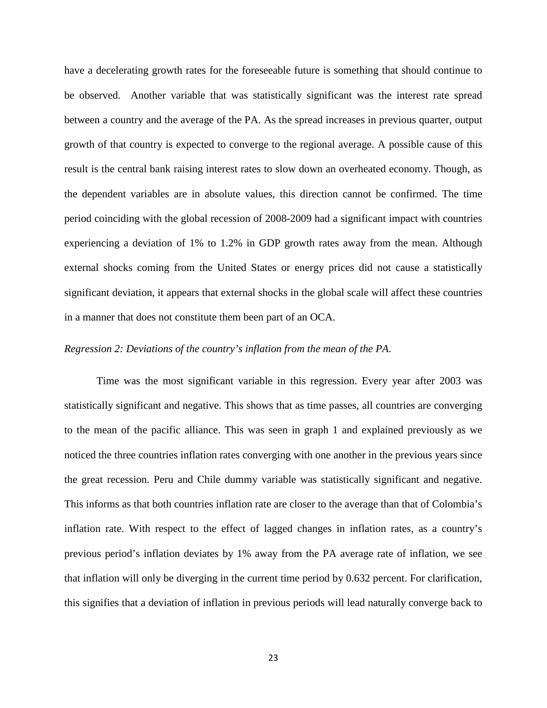have a decelerating growth rates for the foreseeable future is something that should continue to be observed. Another variable that was statistically significant was the interest rate spread between a country and the average of the PA. As the spread increases in previous quarter, output growth of that country is expected to converge to the regional average. A possible cause of this result is the central bank raising interest rates to slow down an overheated economy. Though, as the dependent variables are in absolute values, this direction cannot be confirmed. The time period coinciding with the global recession of 2008-2009 had a significant impact with countries experiencing a deviation of 1% to 1.2% in GDP growth rates away from the mean. Although external shocks coming from the United States or energy prices did not cause a statistically significant deviation, it appears that external shocks in the global scale will affect these countries in a manner that does not constitute them been part of an OCA.

#### *Regression 2: Deviations of the country's inflation from the mean of the PA.*

Time was the most significant variable in this regression. Every year after 2003 was statistically significant and negative. This shows that as time passes, all countries are converging to the mean of the pacific alliance. This was seen in graph 1 and explained previously as we noticed the three countries inflation rates converging with one another in the previous years since the great recession. Peru and Chile dummy variable was statistically significant and negative. This informs as that both countries inflation rate are closer to the average than that of Colombia's inflation rate. With respect to the effect of lagged changes in inflation rates, as a country's previous period's inflation deviates by 1% away from the PA average rate of inflation, we see that inflation will only be diverging in the current time period by 0.632 percent. For clarification, this signifies that a deviation of inflation in previous periods will lead naturally converge back to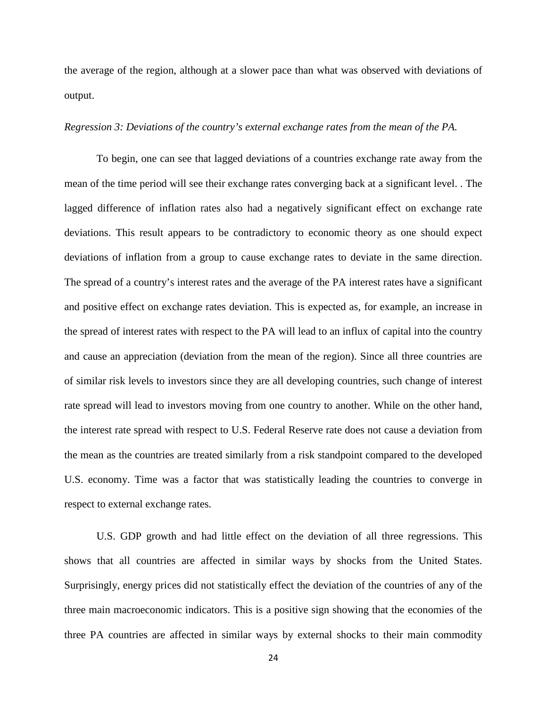the average of the region, although at a slower pace than what was observed with deviations of output.

#### *Regression 3: Deviations of the country's external exchange rates from the mean of the PA.*

To begin, one can see that lagged deviations of a countries exchange rate away from the mean of the time period will see their exchange rates converging back at a significant level. . The lagged difference of inflation rates also had a negatively significant effect on exchange rate deviations. This result appears to be contradictory to economic theory as one should expect deviations of inflation from a group to cause exchange rates to deviate in the same direction. The spread of a country's interest rates and the average of the PA interest rates have a significant and positive effect on exchange rates deviation. This is expected as, for example, an increase in the spread of interest rates with respect to the PA will lead to an influx of capital into the country and cause an appreciation (deviation from the mean of the region). Since all three countries are of similar risk levels to investors since they are all developing countries, such change of interest rate spread will lead to investors moving from one country to another. While on the other hand, the interest rate spread with respect to U.S. Federal Reserve rate does not cause a deviation from the mean as the countries are treated similarly from a risk standpoint compared to the developed U.S. economy. Time was a factor that was statistically leading the countries to converge in respect to external exchange rates.

U.S. GDP growth and had little effect on the deviation of all three regressions. This shows that all countries are affected in similar ways by shocks from the United States. Surprisingly, energy prices did not statistically effect the deviation of the countries of any of the three main macroeconomic indicators. This is a positive sign showing that the economies of the three PA countries are affected in similar ways by external shocks to their main commodity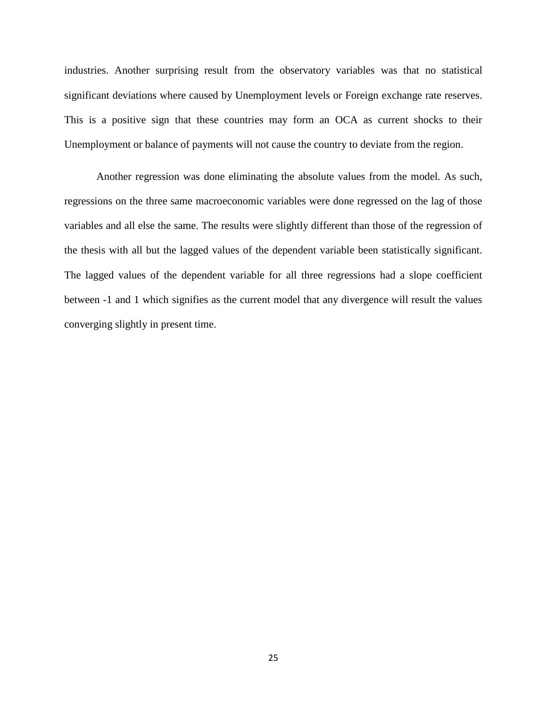industries. Another surprising result from the observatory variables was that no statistical significant deviations where caused by Unemployment levels or Foreign exchange rate reserves. This is a positive sign that these countries may form an OCA as current shocks to their Unemployment or balance of payments will not cause the country to deviate from the region.

Another regression was done eliminating the absolute values from the model. As such, regressions on the three same macroeconomic variables were done regressed on the lag of those variables and all else the same. The results were slightly different than those of the regression of the thesis with all but the lagged values of the dependent variable been statistically significant. The lagged values of the dependent variable for all three regressions had a slope coefficient between -1 and 1 which signifies as the current model that any divergence will result the values converging slightly in present time.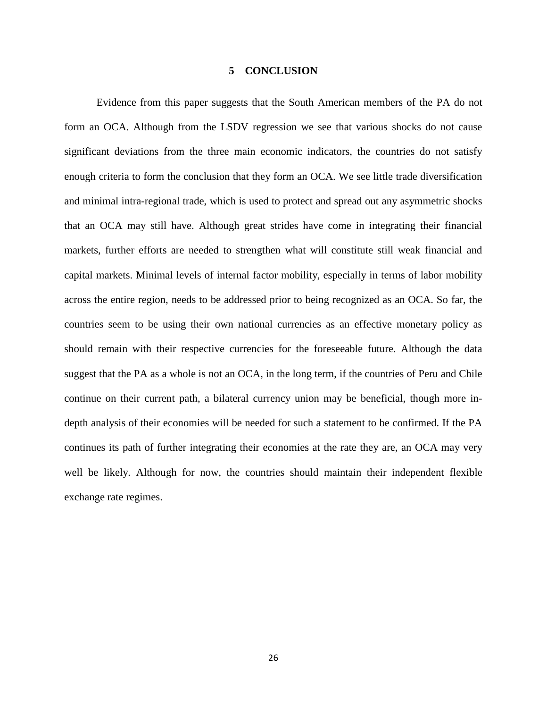#### **5 CONCLUSION**

<span id="page-31-0"></span>Evidence from this paper suggests that the South American members of the PA do not form an OCA. Although from the LSDV regression we see that various shocks do not cause significant deviations from the three main economic indicators, the countries do not satisfy enough criteria to form the conclusion that they form an OCA. We see little trade diversification and minimal intra-regional trade, which is used to protect and spread out any asymmetric shocks that an OCA may still have. Although great strides have come in integrating their financial markets, further efforts are needed to strengthen what will constitute still weak financial and capital markets. Minimal levels of internal factor mobility, especially in terms of labor mobility across the entire region, needs to be addressed prior to being recognized as an OCA. So far, the countries seem to be using their own national currencies as an effective monetary policy as should remain with their respective currencies for the foreseeable future. Although the data suggest that the PA as a whole is not an OCA, in the long term, if the countries of Peru and Chile continue on their current path, a bilateral currency union may be beneficial, though more indepth analysis of their economies will be needed for such a statement to be confirmed. If the PA continues its path of further integrating their economies at the rate they are, an OCA may very well be likely. Although for now, the countries should maintain their independent flexible exchange rate regimes.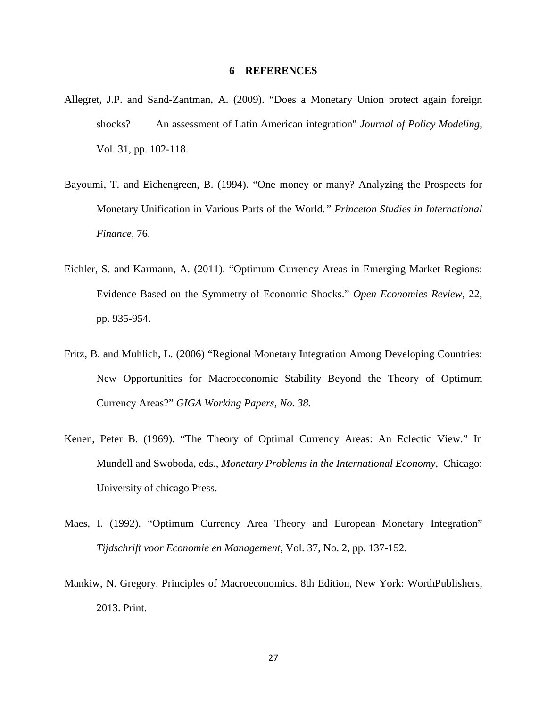#### **6 REFERENCES**

- <span id="page-32-0"></span>Allegret, J.P. and Sand-Zantman, A. (2009). "Does a Monetary Union protect again foreign shocks? An assessment of Latin American integration" *Journal of Policy Modeling*, Vol. 31, pp. 102-118.
- Bayoumi, T. and Eichengreen, B. (1994). "One money or many? Analyzing the Prospects for Monetary Unification in Various Parts of the World*." Princeton Studies in International Finance*, 76.
- Eichler, S. and Karmann, A. (2011). "Optimum Currency Areas in Emerging Market Regions: Evidence Based on the Symmetry of Economic Shocks." *Open Economies Review*, 22, pp. 935-954.
- Fritz, B. and Muhlich, L. (2006) "Regional Monetary Integration Among Developing Countries: New Opportunities for Macroeconomic Stability Beyond the Theory of Optimum Currency Areas?" *GIGA Working Papers, No. 38.*
- Kenen, Peter B. (1969). "The Theory of Optimal Currency Areas: An Eclectic View." In Mundell and Swoboda, eds., *Monetary Problems in the International Economy,* Chicago: University of chicago Press.
- Maes, I. (1992). "Optimum Currency Area Theory and European Monetary Integration" *Tijdschrift voor Economie en Management*, Vol. 37, No. 2, pp. 137-152.
- Mankiw, N. Gregory. Principles of Macroeconomics. 8th Edition, New York: WorthPublishers, 2013. Print.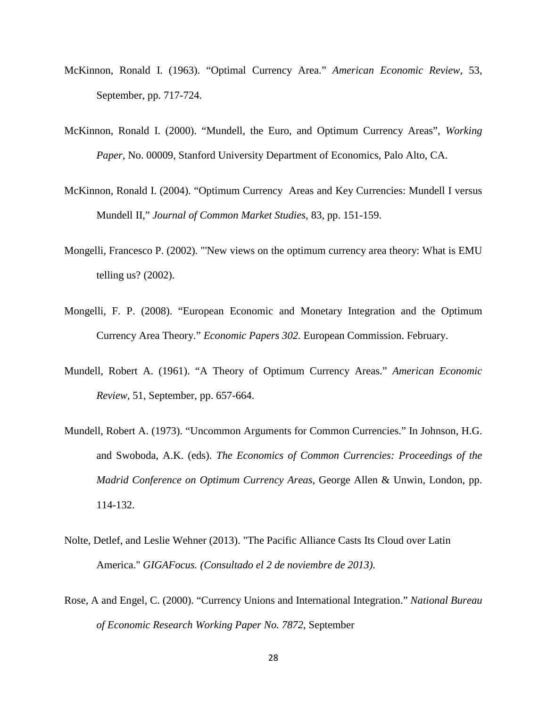- McKinnon, Ronald I. (1963). "Optimal Currency Area." *American Economic Review,* 53, September, pp. 717-724.
- McKinnon, Ronald I. (2000). "Mundell, the Euro, and Optimum Currency Areas", *Working Paper*, No. 00009, Stanford University Department of Economics, Palo Alto, CA.
- McKinnon, Ronald I. (2004). "Optimum Currency Areas and Key Currencies: Mundell I versus Mundell II," *Journal of Common Market Studies,* 83, pp. 151-159.
- Mongelli, Francesco P. (2002). "'New views on the optimum currency area theory: What is EMU telling us? (2002).
- Mongelli, F. P. (2008). "European Economic and Monetary Integration and the Optimum Currency Area Theory." *Economic Papers 302.* European Commission. February.
- Mundell, Robert A. (1961). "A Theory of Optimum Currency Areas." *American Economic Review,* 51, September, pp. 657-664.
- Mundell, Robert A. (1973). "Uncommon Arguments for Common Currencies." In Johnson, H.G. and Swoboda, A.K. (eds). *The Economics of Common Currencies: Proceedings of the Madrid Conference on Optimum Currency Areas*, George Allen & Unwin, London, pp. 114-132.
- Nolte, Detlef, and Leslie Wehner (2013). "The Pacific Alliance Casts Its Cloud over Latin America." *GIGAFocus. (Consultado el 2 de noviembre de 2013)*.
- Rose, A and Engel, C. (2000). "Currency Unions and International Integration." *National Bureau of Economic Research Working Paper No. 7872*, September